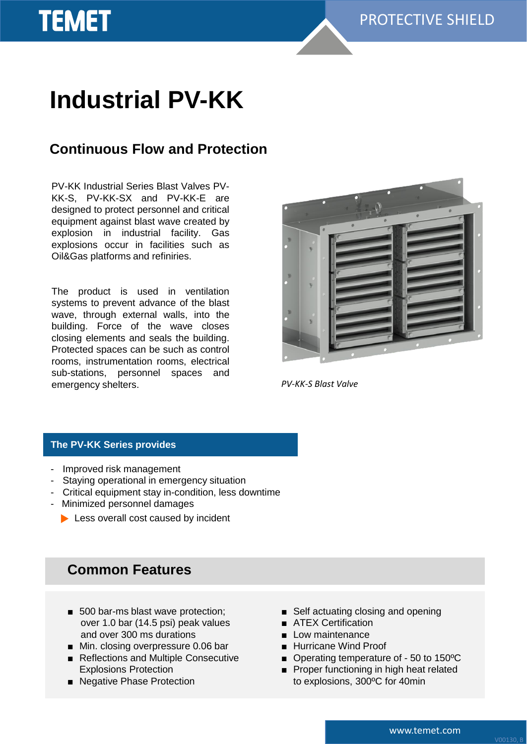# **Industrial PV-KK**

**TEMET** 

## **Continuous Flow and Protection**

PV-KK Industrial Series Blast Valves PV-KK-S, PV-KK-SX and PV-KK-E are designed to protect personnel and critical equipment against blast wave created by explosion in industrial facility. Gas explosions occur in facilities such as Oil&Gas platforms and refiniries.

The product is used in ventilation systems to prevent advance of the blast wave, through external walls, into the building. Force of the wave closes closing elements and seals the building. Protected spaces can be such as control rooms, instrumentation rooms, electrical sub-stations, personnel spaces and emergency shelters.



*PV-KK-S Blast Valve*

#### **The PV-KK Series provides**

- Improved risk management
- Staying operational in emergency situation
- Critical equipment stay in-condition, less downtime
- Minimized personnel damages
	- Less overall cost caused by incident

## **Common Features**

- 500 bar-ms blast wave protection; over 1.0 bar (14.5 psi) peak values and over 300 ms durations
- Min. closing overpressure 0.06 bar
- Reflections and Multiple Consecutive Explosions Protection
- Negative Phase Protection
- Self actuating closing and opening
- ATEX Certification
- Low maintenance
- Hurricane Wind Proof
- Operating temperature of 50 to 150 °C
- Proper functioning in high heat related to explosions, 300ºC for 40min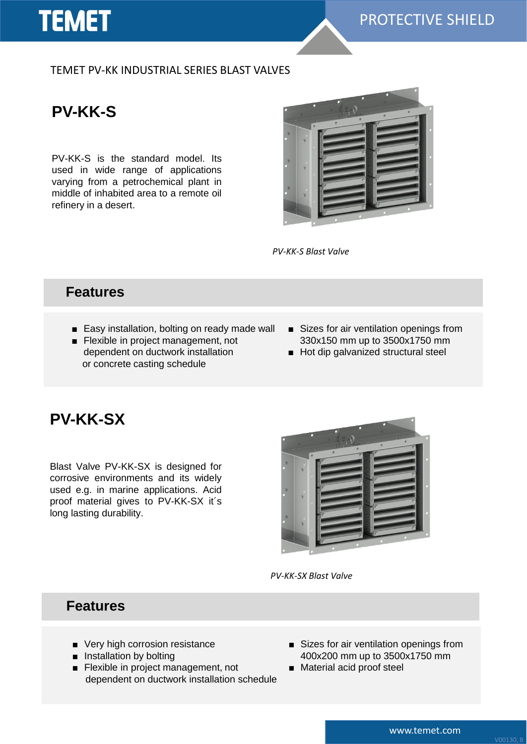

### TEMET PV-KK INDUSTRIAL SERIES BLAST VALVES

**PV-KK-S**

PV-KK-S is the standard model. Its used in wide range of applications varying from a petrochemical plant in middle of inhabited area to a remote oil refinery in a desert.



*PV-KK-S Blast Valve*

### **Features**

- Easy installation, bolting on ready made wall
- Flexible in project management, not dependent on ductwork installation or concrete casting schedule
- Sizes for air ventilation openings from 330x150 mm up to 3500x1750 mm
- Hot dip galvanized structural steel

## **PV-KK-SX**

Blast Valve PV-KK-SX is designed for corrosive environments and its widely used e.g. in marine applications. Acid proof material gives to PV-KK-SX it´s long lasting durability.



*PV-KK-SX Blast Valve*

### **Features**

- Very high corrosion resistance
- Installation by bolting
- Flexible in project management, not dependent on ductwork installation schedule
- Sizes for air ventilation openings from 400x200 mm up to 3500x1750 mm
- Material acid proof steel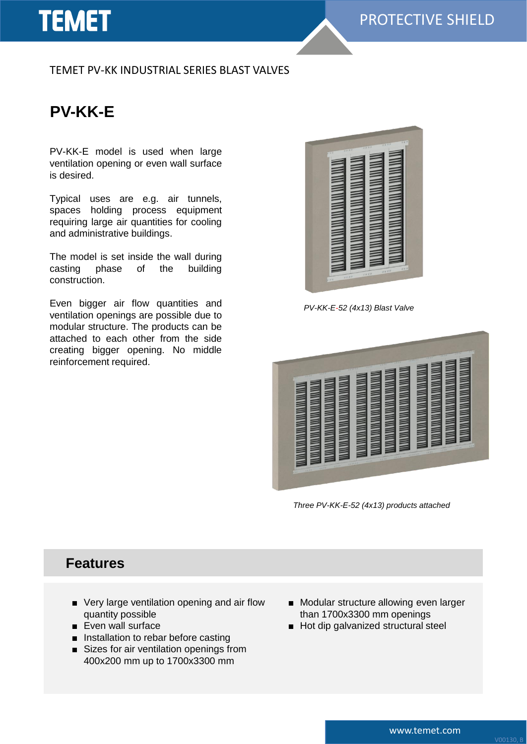# **TEMET**

### TEMET PV-KK INDUSTRIAL SERIES BLAST VALVES

# **PV-KK-E**

PV-KK-E model is used when large ventilation opening or even wall surface is desired.

Typical uses are e.g. air tunnels, spaces holding process equipment requiring large air quantities for cooling and administrative buildings.

The model is set inside the wall during casting phase of the building construction.

Even bigger air flow quantities and ventilation openings are possible due to modular structure. The products can be attached to each other from the side creating bigger opening. No middle reinforcement required.



*PV-KK-E-52 (4x13) Blast Valve*



*Three PV-KK-E-52 (4x13) products attached*

## **Features**

- Very large ventilation opening and air flow quantity possible
- Even wall surface
- Installation to rebar before casting
- Sizes for air ventilation openings from 400x200 mm up to 1700x3300 mm
- Modular structure allowing even larger than 1700x3300 mm openings
- Hot dip galvanized structural steel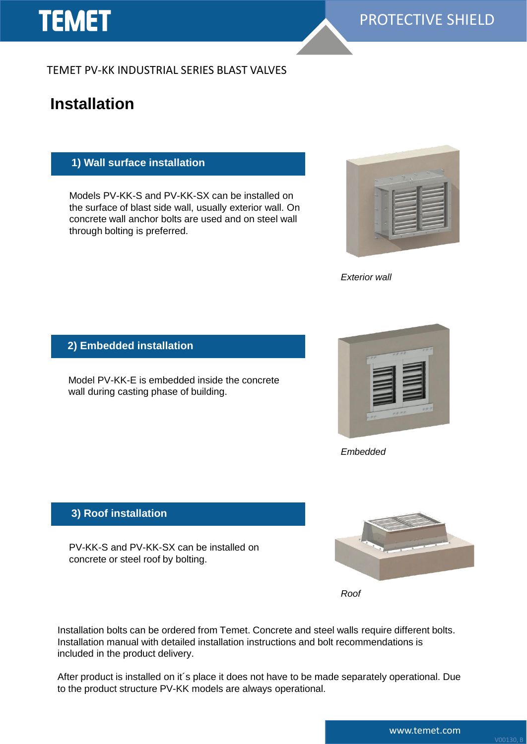# **TEMET**

TEMET PV-KK INDUSTRIAL SERIES BLAST VALVES

# **Installation**

### **1) Wall surface installation**

Models PV-KK-S and PV-KK-SX can be installed on the surface of blast side wall, usually exterior wall. On concrete wall anchor bolts are used and on steel wall through bolting is preferred.



*Exterior wall*

**2) Embedded installation**

Model PV-KK-E is embedded inside the concrete wall during casting phase of building.



*Embedded*

### **3) Roof installation**

PV-KK-S and PV-KK-SX can be installed on concrete or steel roof by bolting.



*Roof*

Installation bolts can be ordered from Temet. Concrete and steel walls require different bolts. Installation manual with detailed installation instructions and bolt recommendations is included in the product delivery.

After product is installed on it´s place it does not have to be made separately operational. Due to the product structure PV-KK models are always operational.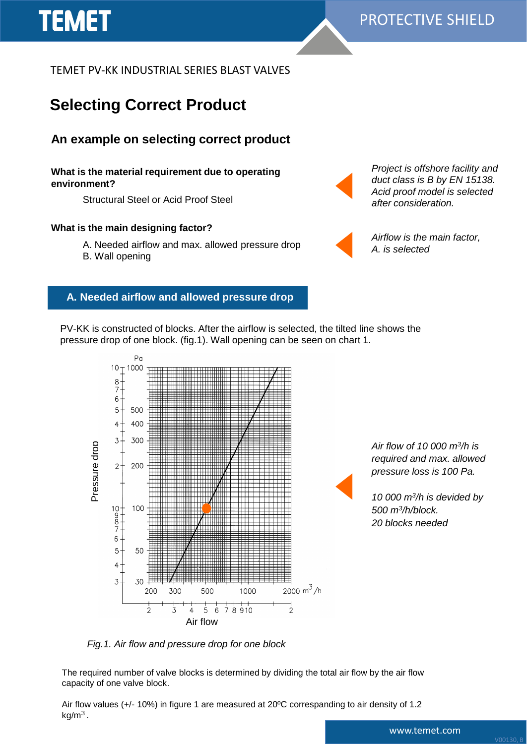TEMET PV-KK INDUSTRIAL SERIES BLAST VALVES

# **Selecting Correct Product**

### **An example on selecting correct product**

#### **What is the material requirement due to operating environment?**

Structural Steel or Acid Proof Steel

#### **What is the main designing factor?**

- A. Needed airflow and max. allowed pressure drop
- B. Wall opening

**TEMET** 



*Project is offshore facility and duct class is B by EN 15138. Acid proof model is selected after consideration.*

*Airflow is the main factor, A. is selected*

#### **A. Needed airflow and allowed pressure drop**

PV-KK is constructed of blocks. After the airflow is selected, the tilted line shows the pressure drop of one block. (fig.1). Wall opening can be seen on chart 1.



*Fig.1. Air flow and pressure drop for one block* 

The required number of valve blocks is determined by dividing the total air flow by the air flow capacity of one valve block.

Air flow values (+/- 10%) in figure 1 are measured at 20ºC correspanding to air density of 1.2 kg/m $^3$  .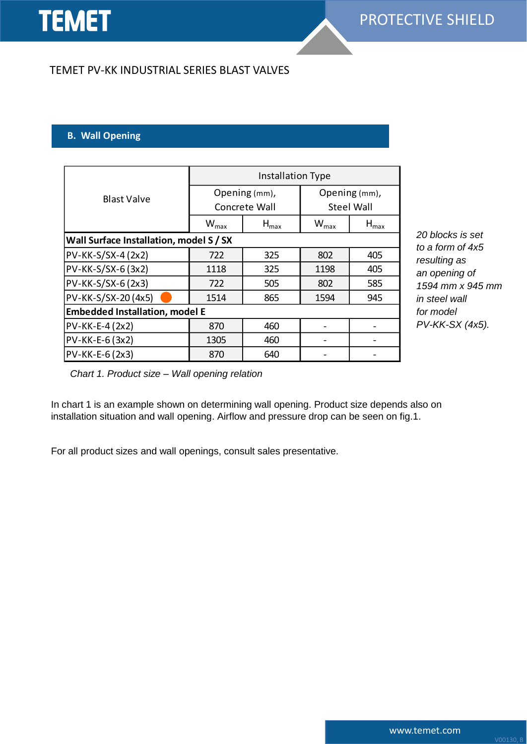### TEMET PV-KK INDUSTRIAL SERIES BLAST VALVES

#### **B. Wall Opening**

| <b>Blast Valve</b>                      | Installation Type           |                  |                   |               |
|-----------------------------------------|-----------------------------|------------------|-------------------|---------------|
|                                         | Opening (mm),               |                  | Opening (mm),     |               |
|                                         | Concrete Wall               |                  | <b>Steel Wall</b> |               |
|                                         | $\mathsf{W}_{\mathsf{max}}$ | $H_{\text{max}}$ | $W_{\text{max}}$  | $H_{\sf max}$ |
| Wall Surface Installation, model S / SX |                             |                  |                   |               |
| PV-KK-S/SX-4 (2x2)                      | 722                         | 325              | 802               | 405           |
| PV-KK-S/SX-6 (3x2)                      | 1118                        | 325              | 1198              | 405           |
| PV-KK-S/SX-6 (2x3)                      | 722                         | 505              | 802               | 585           |
| PV-KK-S/SX-20 (4x5)                     | 1514                        | 865              | 1594              | 945           |
| <b>Embedded Installation, model E</b>   |                             |                  |                   |               |
| PV-KK-E-4 (2x2)                         | 870                         | 460              |                   |               |
| PV-KK-E-6 (3x2)                         | 1305                        | 460              |                   |               |
| PV-KK-E-6 (2x3)                         | 870                         | 640              |                   |               |

*20 blocks is set to a form of 4x5 resulting as an opening of 1594 mm x 945 mm in steel wall for model PV-KK-SX (4x5).* 

*Chart 1. Product size – Wall opening relation*

In chart 1 is an example shown on determining wall opening. Product size depends also on installation situation and wall opening. Airflow and pressure drop can be seen on fig.1.

For all product sizes and wall openings, consult sales presentative.